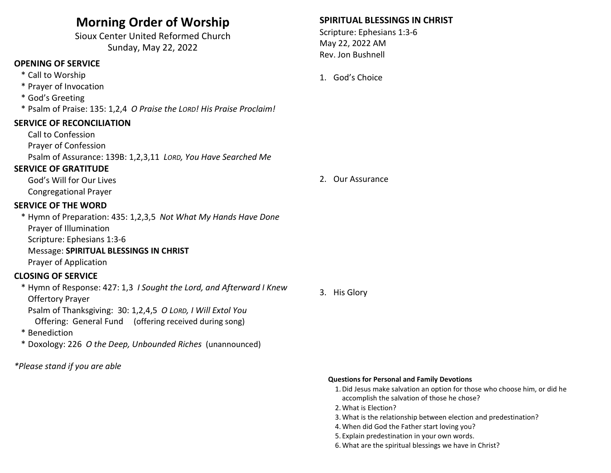# Morning Order of Worship

Sioux Center United Reformed Church Sunday, May 22, 2022

## OPENING OF SERVICE

- \* Call to Worship
- \* Prayer of Invocation
- \* God's Greeting

\* Psalm of Praise: 135: 1,2,4 O Praise the LORD! His Praise Proclaim!

### SERVICE OF RECONCILIATION

 Call to Confession Prayer of Confession Psalm of Assurance: 139B: 1,2,3,11 LORD, You Have Searched Me

### SERVICE OF GRATITUDE

 God's Will for Our Lives Congregational Prayer

### SERVICE OF THE WORD

\* Hymn of Preparation: 435: 1,2,3,5 Not What My Hands Have Done Prayer of Illumination Scripture: Ephesians 1:3-6 Message: SPIRITUAL BLESSINGS IN CHRIST Prayer of Application

### CLOSING OF SERVICE

 \* Hymn of Response: 427: 1,3 I Sought the Lord, and Afterward I Knew Offertory Prayer

Psalm of Thanksgiving: 30: 1,2,4,5 O LORD, I Will Extol You

Offering: General Fund (offering received during song)

- \* Benediction
- \* Doxology: 226 O the Deep, Unbounded Riches (unannounced)

\*Please stand if you are able

## SPIRITUAL BLESSINGS IN CHRIST

Scripture: Ephesians 1:3-6 May 22, 2022 AM Rev. Jon Bushnell

### 1. God's Choice

2. Our Assurance

3. His Glory

#### Questions for Personal and Family Devotions

- 1.Did Jesus make salvation an option for those who choose him, or did he accomplish the salvation of those he chose?
- 2.What is Election?
- 3.What is the relationship between election and predestination?
- 4.When did God the Father start loving you?
- 5. Explain predestination in your own words.
- 6.What are the spiritual blessings we have in Christ?